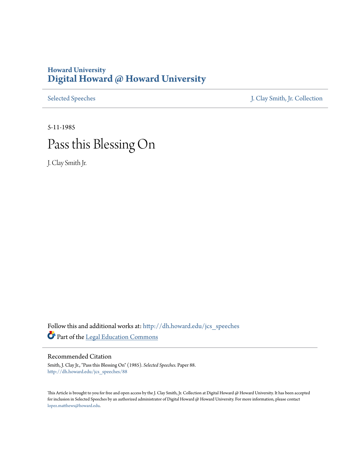# **Howard University [Digital Howard @ Howard University](http://dh.howard.edu?utm_source=dh.howard.edu%2Fjcs_speeches%2F88&utm_medium=PDF&utm_campaign=PDFCoverPages)**

[Selected Speeches](http://dh.howard.edu/jcs_speeches?utm_source=dh.howard.edu%2Fjcs_speeches%2F88&utm_medium=PDF&utm_campaign=PDFCoverPages) [J. Clay Smith, Jr. Collection](http://dh.howard.edu/jcsmith?utm_source=dh.howard.edu%2Fjcs_speeches%2F88&utm_medium=PDF&utm_campaign=PDFCoverPages)

# 5-11-1985 Pass this Blessing On

J. Clay Smith Jr.

Follow this and additional works at: [http://dh.howard.edu/jcs\\_speeches](http://dh.howard.edu/jcs_speeches?utm_source=dh.howard.edu%2Fjcs_speeches%2F88&utm_medium=PDF&utm_campaign=PDFCoverPages) Part of the [Legal Education Commons](http://network.bepress.com/hgg/discipline/857?utm_source=dh.howard.edu%2Fjcs_speeches%2F88&utm_medium=PDF&utm_campaign=PDFCoverPages)

# Recommended Citation

Smith, J. Clay Jr., "Pass this Blessing On" (1985). *Selected Speeches.* Paper 88. [http://dh.howard.edu/jcs\\_speeches/88](http://dh.howard.edu/jcs_speeches/88?utm_source=dh.howard.edu%2Fjcs_speeches%2F88&utm_medium=PDF&utm_campaign=PDFCoverPages)

This Article is brought to you for free and open access by the J. Clay Smith, Jr. Collection at Digital Howard @ Howard University. It has been accepted for inclusion in Selected Speeches by an authorized administrator of Digital Howard @ Howard University. For more information, please contact [lopez.matthews@howard.edu.](mailto:lopez.matthews@howard.edu)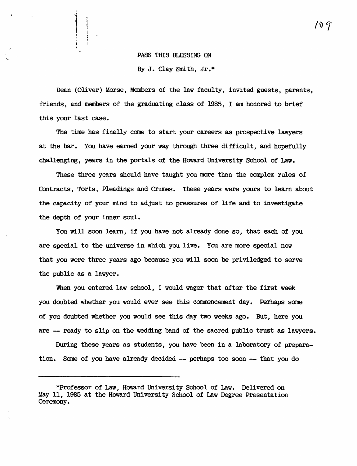# PASS THIS BLESSING ON

 $\begin{picture}(20,20)(-20,0) \put(0,0){\vector(1,0){10}} \put(15,0){\vector(1,0){10}} \put(15,0){\vector(1,0){10}} \put(15,0){\vector(1,0){10}} \put(15,0){\vector(1,0){10}} \put(15,0){\vector(1,0){10}} \put(15,0){\vector(1,0){10}} \put(15,0){\vector(1,0){10}} \put(15,0){\vector(1,0){10}} \put(15,0){\vector(1,0){10}} \put(15,0){\vector(1,0){10}} \put(15,$ i .<br>.<br>.

By J. Clay Smith, Jr.\*

Dean (Oliver) Morse, Members of the law faculty, invited guests, parents, friends, and members of the graduating class of 1985, I am honored to brief this your last case.

The time has finally come to start your careers as prospective lawyers at the bar. You have earned your way through three difficult, and hopefully challenging, years in the portals of the Howard University School of Law.

These three years should have taught you more than the complex rules of Contracts, Torts, Pleadings and Crimes. These years were yours to learn about the capacity of your mind to adjust to pressures of life and to investigate the depth of your inner soul.

You will soon learn, if you have not already done so, that each of you are special to the universe in which you live. You are more special now that you were three years ago because you will soon be privi1edged to serve the public as a lawyer.

When you entered law school, I would wager that after the first week you doubted whether you would ever see this commencement day. Perhaps some of you doubted whether you would see this day two weeks ago. But, here you are -- ready to slip on the wedding band of the sacred public trust as lawyers.

During these years as students, you have been in a laboratory of preparation. Some of you have already decided -- perhaps too soon - that you do

1 O T

<sup>\*</sup>Professor of Law, Howard University School of Law. Delivered on May 11, 1985 at the Howard Uni versi ty School of Law Degree Presentation Ceremony.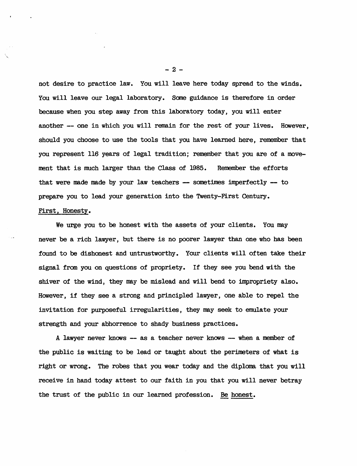not desire to practice law. You will leave here today spread to the winds. You will leave our legal laboratory. Same guidance is therefore in order because when you step away from this laboratory today, you will enter another -- one in which you will remain for the rest of your lives. However, should you choose to use the tools that you have learned here, remember that you represent 116 years of legal tradition; remember that you are of a movement that is much larger than the Class of 1985. Remember the efforts that were made made by your law teachers  $-$  sometimes imperfectly  $-$  to prepare you to lead your generation into the Twenty-First Century.

# First, Honesty.

We urge you to be honest with the assets of your clients. You may never be a rich lawyer, but there is no poorer lawyer than one who has been found to be dishonest and untrustworthy. Your clients will often take their signal from you on questions of propriety. If they see you bend with the shiver of the wind, they may be mislead and will bend to impropriety also. However, if they see a strong and principled lawyer, one able to repel the invitation for purposeful irregularities, they may seek to emulate your strength and your abhorrence to shady business practices.

A lawyer never knows - as a teacher never knows -- when a member of the public is waiting to be lead or taught about the perimeters of what is right or wrong. The robes that you wear today and the diploma that you will receive in hand today attest to our faith in you that you will never betray the trust of the public in our learned profession. Be honest.

 $-2 -$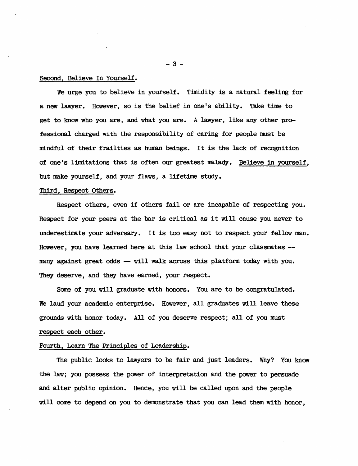## Second, Believe In Yourself.

We urge you to believe in yourself. Timidity is a natural feeling for a new lawyer. However, so is the belief in one's ability. Take time to get to know who you are, and what you are. A lawyer, like any other professional charged with the responsibility of caring for people must be mindful of their frailties as human beings. It is the lack of recognition of one's limitations that is often our greatest malady. Believe in yourself, but make yourself, and your flaws, a lifetime study.

#### Third, Respect Others.

Respect others, even if others fail or are incapable of respecting you. Respect for your peers at the bar is critical as it will cause you never to underestimate your adversary. It is too easy not to respect your fellow man. However, you have learned here at this law school that your classmates - many against great odds  $-$  will walk across this platform today with you. They deserve, and they have earned, your respect.

Some of you will graduate with honors. You are to be congratulated. We laud your academic enterprise. However, all graduates will leave these grounds with honor today. All of you deserve respect; all of you must respect each other.

### Fourth, Learn The Principles of Leadership.

The public looks to lawyers to be fair and just leaders. Why? You know the law; you possess the power of interpretation and the power to persuade and alter public opinion. Hence, you will be called upon and the people will came to depend on you to demonstrate that you can lead them with honor,

 $-3 -$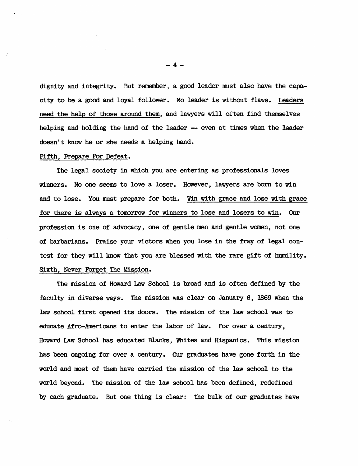dignity and integrity. But remember, a good leader must also have the capacity to be a good and loyal follower. No leader is without flaws. Leaders need the help of those around them, and lawyers will often find themselves helping and holding the hand of the leader -- even at times when the leader doesn't know he or she needs a helping hand.

#### Fifth, Prepare For Defeat.

The legal society in which you are entering as professionals loves winners. No one seems to love a loser. However, lawyers are born to win and to lose. You must prepare for both. Win with grace and lose with grace for there is always a tomorrow for winners to lose and losers to win. Our profession is one of advocacy, one of gentle men and gentle women, not one of barbarians. Praise your victors when you lose in the fray of legal contest for they will know that you are blessed with the rare gift of humility. Sixth, Never Forget The Mission.

The mission of Howard Law School is broad and is often defined by the faculty in diverse ways. The mission was clear on January 6, 1869 when the law school first opened its doors. The mission of the law school was to educate Afro-Americans to enter the labor of law. For over a century, Howard Law School has educated Blacks, Whi tes and Hispanics. This mission has been ongoing for over a century. Our graduates have gone forth in the world and most of them have carried the mission of the law school to the world beyond. The mission of the law school has been defined, redefined by each graduate. But one thing is clear: the bulk of our graduates have

-4-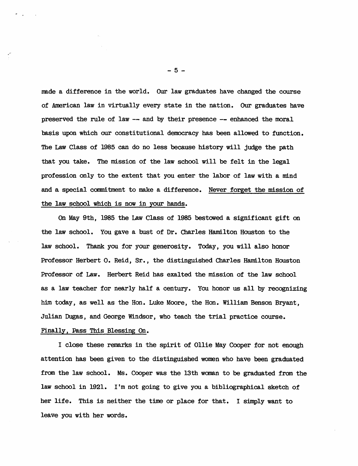made a difference in the world. Our law graduates have changed the course of American law in virtually every state in the nation. Our graduates have preserved the rule of law -- and by their presence -- enhanced the moral basis upon which our constitutional democracy has been allowed to function. The Law Class of 1985 can do no less because history will judge the path that you take. The mission of the law school will be felt in the legal profession only to the extent that you enter the labor of law with a mind and a special commitment to make a difference. Never forget the mission of the law school which is now in your hands.

On May 9th, 1985 the Law Class of 1985 bestowed a significant gift on the law school. You gave a bust of Dr. Charles Hamilton Houston to the law school. Thank you for your generosity. Today, you will also honor Professor Herbert O. Reid, Sr., the distinguished Charles Hamilton Houston Professor of Law. Herbert Reid has exalted the mission of the law school as a law teacher for nearly half a century. You honor us all by recognizing him today, as well as the Hon. Luke Moore, the Hon. William Benson Bryant, Julian Dugas, and George Windsor, who teach the trial practice course. Finally, Pass This Blessing On.

I close these remarks in the spirit of Ollie May Cooper for not enough attention has been given to the distinguished women who have been graduated from the law school. Ms. Cooper was the 13th wanan to be graduated from the law school in 1921. I'm not going to give you a bibliographical sketch of her life. This is neither the time or place for that. I simply want to

leave you with her words.

$$
-5 -
$$